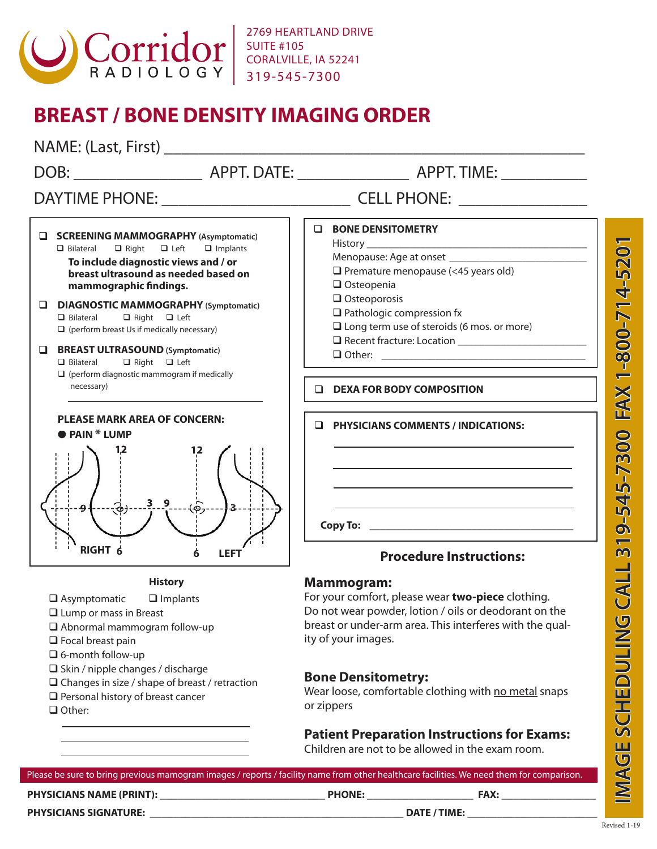

2769 HEARTLAND DRIVE SUITE #105 CORALVILLE, IA 52241 319-545-7300

## **BREAST / BONE DENSITY IMAGING ORDER**

| NAME: (Last, First)                                                                                                                                                                                                           |                                                                                                                                                                                                                    |
|-------------------------------------------------------------------------------------------------------------------------------------------------------------------------------------------------------------------------------|--------------------------------------------------------------------------------------------------------------------------------------------------------------------------------------------------------------------|
|                                                                                                                                                                                                                               |                                                                                                                                                                                                                    |
|                                                                                                                                                                                                                               |                                                                                                                                                                                                                    |
| <b>U</b> SCREENING MAMMOGRAPHY (Asymptomatic)<br>$\Box$ Left<br>$\Box$ Bilateral<br>$\Box$ Right<br>$\Box$ Implants<br>To include diagnostic views and / or<br>breast ultrasound as needed based on<br>mammographic findings. | <b>EN BONE DENSITOMETRY</b><br>$\Box$ Premature menopause (<45 years old)<br>$\Box$ Osteopenia                                                                                                                     |
| DIAGNOSTIC MAMMOGRAPHY (Symptomatic)<br>$\Box$ Bilateral<br>$\Box$ Right $\Box$ Left<br>$\Box$ (perform breast Us if medically necessary)                                                                                     | $\Box$ Osteoporosis<br>$\Box$ Pathologic compression fx<br>$\Box$ Long term use of steroids (6 mos. or more)                                                                                                       |
| <b>BREAST ULTRASOUND (Symptomatic)</b><br>$\Box$ Bilateral $\Box$ Right $\Box$ Left<br>$\Box$ (perform diagnostic mammogram if medically                                                                                      |                                                                                                                                                                                                                    |
| necessary)                                                                                                                                                                                                                    | <b>U</b> DEXA FOR BODY COMPOSITION                                                                                                                                                                                 |
| <b>PLEASE MARK AREA OF CONCERN:</b><br><b>PAIN * LUMP</b>                                                                                                                                                                     | $\Box$ PHYSICIANS COMMENTS / INDICATIONS:                                                                                                                                                                          |
| $3 -$                                                                                                                                                                                                                         | the control of the control of the control of the control of the control of the control of                                                                                                                          |
| <b>RIGHT 6</b><br><b>LEFT</b>                                                                                                                                                                                                 | <b>Procedure Instructions:</b>                                                                                                                                                                                     |
| <b>History</b><br>$\Box$ Asymptomatic<br>$\Box$ Implants<br>$\Box$ Lump or mass in Breast<br>$\Box$ Abnormal mammogram follow-up<br>$\Box$ Focal breast pain<br>$\Box$ 6-month follow-up                                      | <b>Mammogram:</b><br>For your comfort, please wear two-piece clothing.<br>Do not wear powder, lotion / oils or deodorant on the<br>breast or under-arm area. This interferes with the qual-<br>ity of your images. |
| $\Box$ Skin / nipple changes / discharge<br>$\Box$ Changes in size / shape of breast / retraction<br>$\Box$ Personal history of breast cancer<br>$\Box$ Other:                                                                | <b>Bone Densitometry:</b><br>Wear loose, comfortable clothing with no metal snaps<br>or zippers                                                                                                                    |
|                                                                                                                                                                                                                               | <b>Patient Preparation Instructions for Exams:</b>                                                                                                                                                                 |

Children are not to be allowed in the exam room.

| Please be sure to bring previous mamogram images / reports / facility name from other healthcare facilities. We need them for comparison. |                     |             |  |
|-------------------------------------------------------------------------------------------------------------------------------------------|---------------------|-------------|--|
| <b>PHYSICIANS NAME (PRINT):</b>                                                                                                           | <b>PHONE:</b>       | <b>FAX:</b> |  |
| <b>PHYSICIANS SIGNATURE:</b>                                                                                                              | <b>DATE / TIME:</b> |             |  |